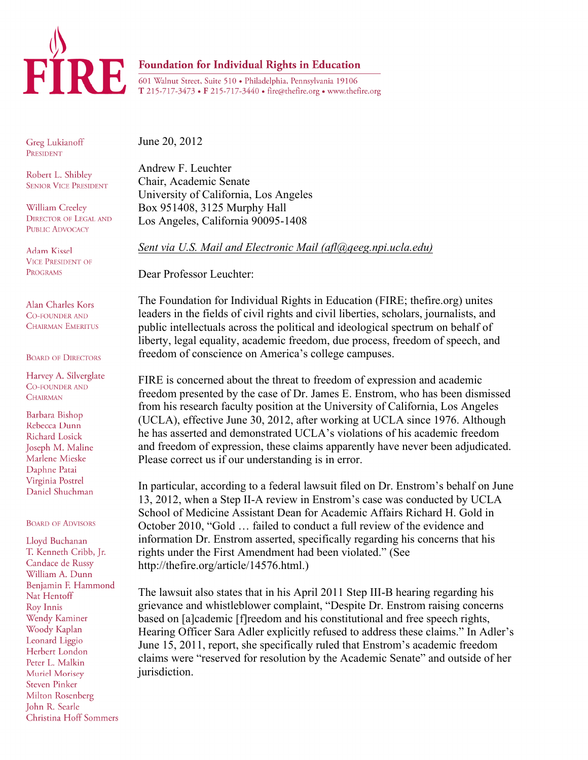

## Foundation for Individual Rights in Education

601 Walnut Street, Suite 510 · Philadelphia, Pennsylvania 19106 T 215-717-3473 • F 215-717-3440 • fire@thefire.org • www.thefire.org

Greg Lukianoff PRESIDENT

Robert L. Shibley **SENIOR VICE PRESIDENT** 

William Creeley **DIRECTOR OF LEGAL AND PUBLIC ADVOCACY** 

Adam Kissel **VICE PRESIDENT OF PROGRAMS** 

Alan Charles Kors CO-FOUNDER AND **CHAIRMAN EMERITUS** 

**BOARD OF DIRECTORS** 

Harvey A. Silverglate **CO-FOUNDER AND CHAIRMAN** 

Barbara Bishop Rebecca Dunn Richard Losick Joseph M. Maline Marlene Mieske Daphne Patai Virginia Postrel Daniel Shuchman

## **BOARD OF ADVISORS**

Lloyd Buchanan T. Kenneth Cribb, Jr. Candace de Russy William A. Dunn Benjamin F. Hammond Nat Hentoff Roy Innis Wendy Kaminer Woody Kaplan Leonard Liggio Herbert London Peter L. Malkin Muriel Morisev **Steven Pinker** Milton Rosenberg John R. Searle **Christina Hoff Sommers**  June 20, 2012

Andrew F. Leuchter Chair, Academic Senate University of California, Los Angeles Box 951408, 3125 Murphy Hall Los Angeles, California 90095-1408

*Sent via U.S. Mail and Electronic Mail (afl@qeeg.npi.ucla.edu)*

Dear Professor Leuchter:

The Foundation for Individual Rights in Education (FIRE; thefire.org) unites leaders in the fields of civil rights and civil liberties, scholars, journalists, and public intellectuals across the political and ideological spectrum on behalf of liberty, legal equality, academic freedom, due process, freedom of speech, and freedom of conscience on America's college campuses.

FIRE is concerned about the threat to freedom of expression and academic freedom presented by the case of Dr. James E. Enstrom, who has been dismissed from his research faculty position at the University of California, Los Angeles (UCLA), effective June 30, 2012, after working at UCLA since 1976. Although he has asserted and demonstrated UCLA's violations of his academic freedom and freedom of expression, these claims apparently have never been adjudicated. Please correct us if our understanding is in error.

In particular, according to a federal lawsuit filed on Dr. Enstrom's behalf on June 13, 2012, when a Step II-A review in Enstrom's case was conducted by UCLA School of Medicine Assistant Dean for Academic Affairs Richard H. Gold in October 2010, "Gold … failed to conduct a full review of the evidence and information Dr. Enstrom asserted, specifically regarding his concerns that his rights under the First Amendment had been violated." (See http://thefire.org/article/14576.html.)

The lawsuit also states that in his April 2011 Step III-B hearing regarding his grievance and whistleblower complaint, "Despite Dr. Enstrom raising concerns based on [a]cademic [f]reedom and his constitutional and free speech rights, Hearing Officer Sara Adler explicitly refused to address these claims." In Adler's June 15, 2011, report, she specifically ruled that Enstrom's academic freedom claims were "reserved for resolution by the Academic Senate" and outside of her jurisdiction.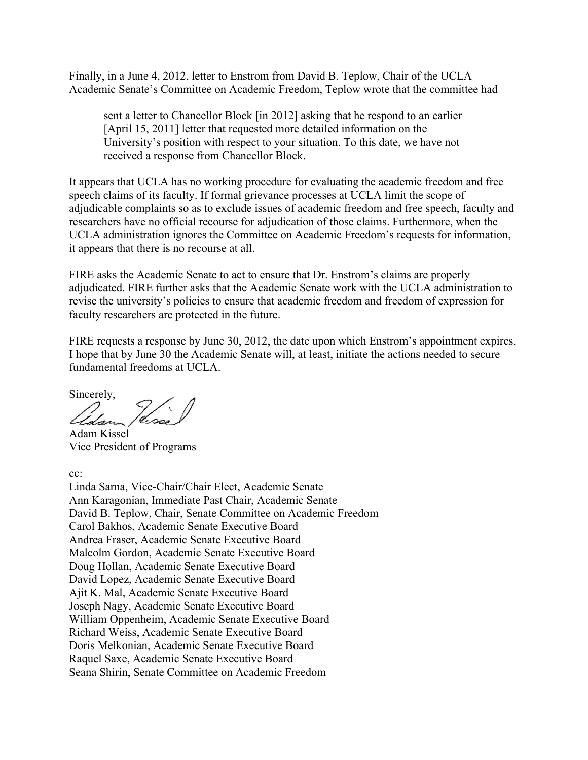Finally, in a June 4, 2012, letter to Enstrom from David B. Teplow, Chair of the UCLA Academic Senate's Committee on Academic Freedom, Teplow wrote that the committee had

sent a letter to Chancellor Block [in 2012] asking that he respond to an earlier [April 15, 2011] letter that requested more detailed information on the University's position with respect to your situation. To this date, we have not received a response from Chancellor Block.

It appears that UCLA has no working procedure for evaluating the academic freedom and free speech claims of its faculty. If formal grievance processes at UCLA limit the scope of adjudicable complaints so as to exclude issues of academic freedom and free speech, faculty and researchers have no official recourse for adjudication of those claims. Furthermore, when the UCLA administration ignores the Committee on Academic Freedom's requests for information, it appears that there is no recourse at all.

FIRE asks the Academic Senate to act to ensure that Dr. Enstrom's claims are properly adjudicated. FIRE further asks that the Academic Senate work with the UCLA administration to revise the university's policies to ensure that academic freedom and freedom of expression for faculty researchers are protected in the future.

FIRE requests a response by June 30, 2012, the date upon which Enstrom's appointment expires. I hope that by June 30 the Academic Senate will, at least, initiate the actions needed to secure fundamental freedoms at UCLA.

Sincerely,

Usse

Adam Kissel Vice President of Programs

cc:

Linda Sarna, Vice-Chair/Chair Elect, Academic Senate Ann Karagonian, Immediate Past Chair, Academic Senate David B. Teplow, Chair, Senate Committee on Academic Freedom Carol Bakhos, Academic Senate Executive Board Andrea Fraser, Academic Senate Executive Board Malcolm Gordon, Academic Senate Executive Board Doug Hollan, Academic Senate Executive Board David Lopez, Academic Senate Executive Board Ajit K. Mal, Academic Senate Executive Board Joseph Nagy, Academic Senate Executive Board William Oppenheim, Academic Senate Executive Board Richard Weiss, Academic Senate Executive Board Doris Melkonian, Academic Senate Executive Board Raquel Saxe, Academic Senate Executive Board Seana Shirin, Senate Committee on Academic Freedom